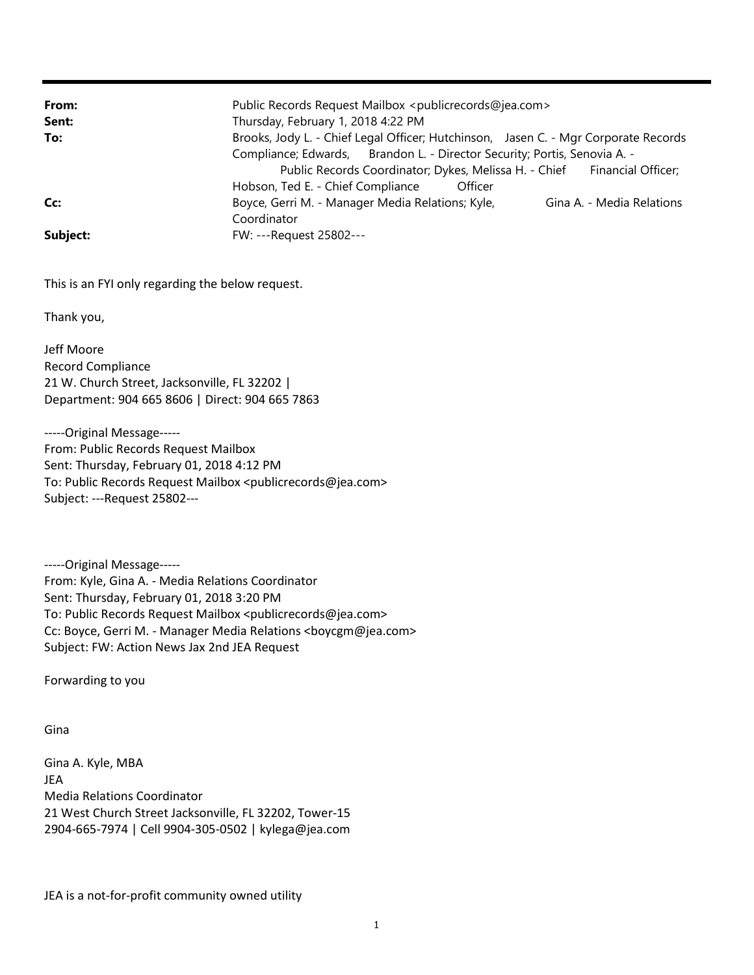| From:    | Public Records Request Mailbox <publicrecords@jea.com></publicrecords@jea.com>      |
|----------|-------------------------------------------------------------------------------------|
| Sent:    | Thursday, February 1, 2018 4:22 PM                                                  |
| To:      | Brooks, Jody L. - Chief Legal Officer; Hutchinson, Jasen C. - Mgr Corporate Records |
|          | Compliance; Edwards, Brandon L. - Director Security; Portis, Senovia A. -           |
|          | Public Records Coordinator; Dykes, Melissa H. - Chief Financial Officer;            |
|          | Hobson, Ted E. - Chief Compliance<br>Officer                                        |
| Cc:      | Boyce, Gerri M. - Manager Media Relations; Kyle,<br>Gina A. - Media Relations       |
|          | Coordinator                                                                         |
| Subject: | FW: ---Request 25802---                                                             |

This is an FYI only regarding the below request.

Thank you,

Jeff Moore Record Compliance 21 W. Church Street, Jacksonville, FL 32202 | Department: 904 665 8606 | Direct: 904 665 7863

-----Original Message----- From: Public Records Request Mailbox Sent: Thursday, February 01, 2018 4:12 PM To: Public Records Request Mailbox <publicrecords@jea.com> Subject: ---Request 25802---

-----Original Message----- From: Kyle, Gina A. - Media Relations Coordinator Sent: Thursday, February 01, 2018 3:20 PM To: Public Records Request Mailbox <publicrecords@jea.com> Cc: Boyce, Gerri M. - Manager Media Relations <br/> <br/>boycgm@jea.com> Subject: FW: Action News Jax 2nd JEA Request

Forwarding to you

Gina

Gina A. Kyle, MBA JEA Media Relations Coordinator 21 West Church Street Jacksonville, FL 32202, Tower-15 2904-665-7974 | Cell 9904-305-0502 | kylega@jea.com

JEA is a not-for-profit community owned utility